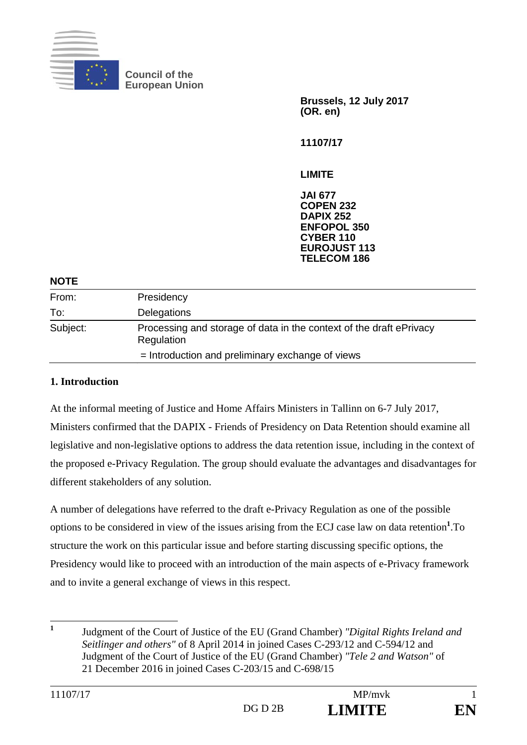

**Council of the European Union** 

> **Brussels, 12 July 2017 (OR. en)**

**11107/17** 

**LIMITE** 

**JAI 677 COPEN 232 DAPIX 252 ENFOPOL 350 CYBER 110 EUROJUST 113 TELECOM 186**

#### **NOTE**

| From:    | Presidency                                                                        |
|----------|-----------------------------------------------------------------------------------|
| To:      | <b>Delegations</b>                                                                |
| Subject: | Processing and storage of data in the context of the draft ePrivacy<br>Regulation |
|          | $=$ Introduction and preliminary exchange of views                                |

#### **1. Introduction**

At the informal meeting of Justice and Home Affairs Ministers in Tallinn on 6-7 July 2017, Ministers confirmed that the DAPIX - Friends of Presidency on Data Retention should examine all legislative and non-legislative options to address the data retention issue, including in the context of the proposed e-Privacy Regulation. The group should evaluate the advantages and disadvantages for different stakeholders of any solution.

A number of delegations have referred to the draft e-Privacy Regulation as one of the possible options to be considered in view of the issues arising from the ECJ case law on data retention**<sup>1</sup>** .To structure the work on this particular issue and before starting discussing specific options, the Presidency would like to proceed with an introduction of the main aspects of e-Privacy framework and to invite a general exchange of views in this respect.

 **1** Judgment of the Court of Justice of the EU (Grand Chamber) *"Digital Rights Ireland and Seitlinger and others"* of 8 April 2014 in joined Cases C-293/12 and C-594/12 and Judgment of the Court of Justice of the EU (Grand Chamber) *"Tele 2 and Watson"* of 21 December 2016 in joined Cases C-203/15 and C-698/15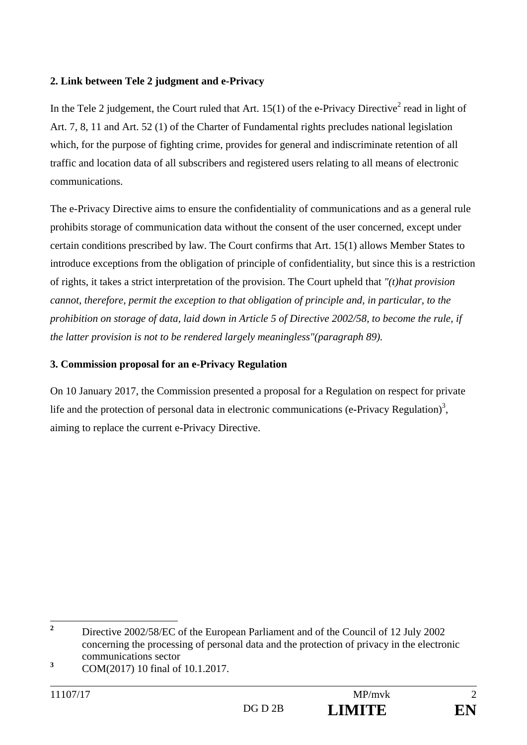### **2. Link between Tele 2 judgment and e-Privacy**

In the Tele 2 judgement, the Court ruled that Art.  $15(1)$  of the e-Privacy Directive<sup>2</sup> read in light of Art. 7, 8, 11 and Art. 52 (1) of the Charter of Fundamental rights precludes national legislation which, for the purpose of fighting crime, provides for general and indiscriminate retention of all traffic and location data of all subscribers and registered users relating to all means of electronic communications.

The e-Privacy Directive aims to ensure the confidentiality of communications and as a general rule prohibits storage of communication data without the consent of the user concerned, except under certain conditions prescribed by law. The Court confirms that Art. 15(1) allows Member States to introduce exceptions from the obligation of principle of confidentiality, but since this is a restriction of rights, it takes a strict interpretation of the provision. The Court upheld that *"(t)hat provision cannot, therefore, permit the exception to that obligation of principle and, in particular, to the prohibition on storage of data, laid down in Article 5 of Directive 2002/58, to become the rule, if the latter provision is not to be rendered largely meaningless"(paragraph 89).*

# **3. Commission proposal for an e-Privacy Regulation**

On 10 January 2017, the Commission presented a proposal for a Regulation on respect for private life and the protection of personal data in electronic communications (e-Privacy Regulation)<sup>3</sup>, aiming to replace the current e-Privacy Directive.

 **2** Directive 2002/58/EC of the European Parliament and of the Council of 12 July 2002 concerning the processing of personal data and the protection of privacy in the electronic communications sector

**<sup>3</sup>** COM(2017) 10 final of 10.1.2017.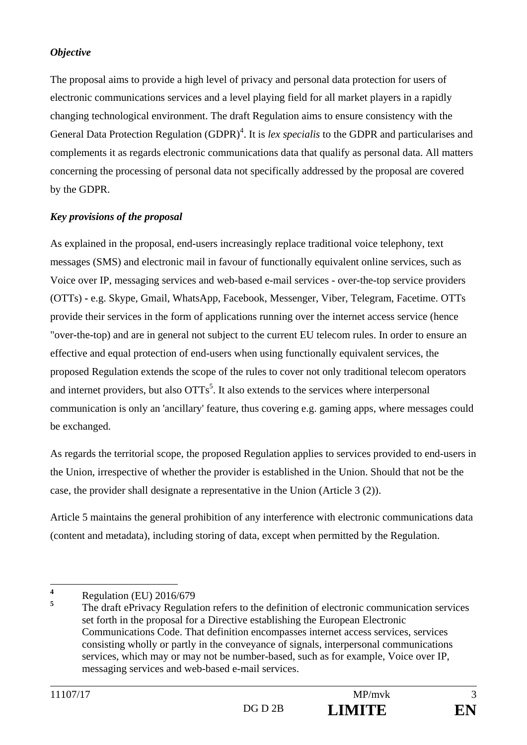### *Objective*

The proposal aims to provide a high level of privacy and personal data protection for users of electronic communications services and a level playing field for all market players in a rapidly changing technological environment. The draft Regulation aims to ensure consistency with the General Data Protection Regulation (GDPR)<sup>4</sup>. It is *lex specialis* to the GDPR and particularises and complements it as regards electronic communications data that qualify as personal data. All matters concerning the processing of personal data not specifically addressed by the proposal are covered by the GDPR.

# *Key provisions of the proposal*

As explained in the proposal, end-users increasingly replace traditional voice telephony, text messages (SMS) and electronic mail in favour of functionally equivalent online services, such as Voice over IP, messaging services and web-based e-mail services - over-the-top service providers (OTTs) **-** e.g. Skype, Gmail, WhatsApp, Facebook, Messenger, Viber, Telegram, Facetime. OTTs provide their services in the form of applications running over the internet access service (hence "over-the-top) and are in general not subject to the current EU telecom rules. In order to ensure an effective and equal protection of end-users when using functionally equivalent services, the proposed Regulation extends the scope of the rules to cover not only traditional telecom operators and internet providers, but also  $OTTs<sup>5</sup>$ . It also extends to the services where interpersonal communication is only an 'ancillary' feature, thus covering e.g. gaming apps, where messages could be exchanged.

As regards the territorial scope, the proposed Regulation applies to services provided to end-users in the Union, irrespective of whether the provider is established in the Union. Should that not be the case, the provider shall designate a representative in the Union (Article 3 (2)).

Article 5 maintains the general prohibition of any interference with electronic communications data (content and metadata), including storing of data, except when permitted by the Regulation.

 **4** Regulation (EU) 2016/679

**<sup>5</sup>** The draft ePrivacy Regulation refers to the definition of electronic communication services set forth in the proposal for a Directive establishing the European Electronic Communications Code. That definition encompasses internet access services, services consisting wholly or partly in the conveyance of signals, interpersonal communications services, which may or may not be number-based, such as for example, Voice over IP, messaging services and web-based e-mail services.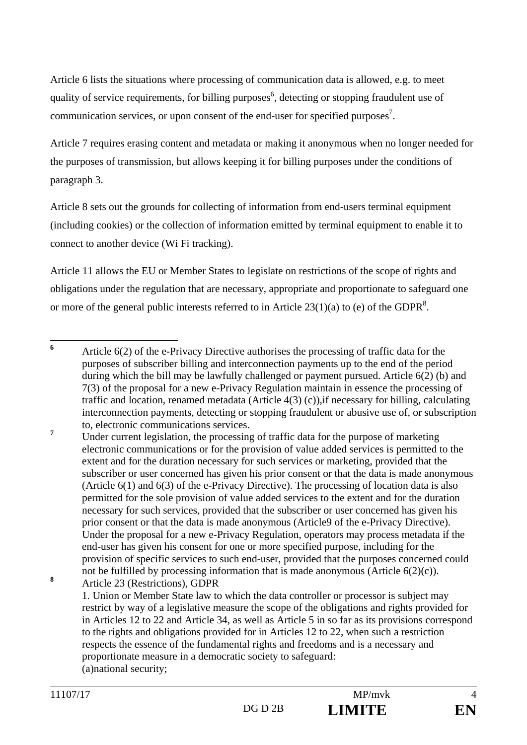Article 6 lists the situations where processing of communication data is allowed, e.g. to meet quality of service requirements, for billing purposes<sup>6</sup>, detecting or stopping fraudulent use of communication services, or upon consent of the end-user for specified purposes<sup>7</sup>.

Article 7 requires erasing content and metadata or making it anonymous when no longer needed for the purposes of transmission, but allows keeping it for billing purposes under the conditions of paragraph 3.

Article 8 sets out the grounds for collecting of information from end-users terminal equipment (including cookies) or the collection of information emitted by terminal equipment to enable it to connect to another device (Wi Fi tracking).

Article 11 allows the EU or Member States to legislate on restrictions of the scope of rights and obligations under the regulation that are necessary, appropriate and proportionate to safeguard one or more of the general public interests referred to in Article  $23(1)(a)$  to (e) of the GDPR<sup>8</sup>.

 Under current legislation, the processing of traffic data for the purpose of marketing electronic communications or for the provision of value added services is permitted to the extent and for the duration necessary for such services or marketing, provided that the subscriber or user concerned has given his prior consent or that the data is made anonymous (Article 6(1) and 6(3) of the e-Privacy Directive). The processing of location data is also permitted for the sole provision of value added services to the extent and for the duration necessary for such services, provided that the subscriber or user concerned has given his prior consent or that the data is made anonymous (Article9 of the e-Privacy Directive). Under the proposal for a new e-Privacy Regulation, operators may process metadata if the end-user has given his consent for one or more specified purpose, including for the provision of specific services to such end-user, provided that the purposes concerned could not be fulfilled by processing information that is made anonymous (Article 6(2)(c)).

**8** Article 23 (Restrictions), GDPR

> 1. Union or Member State law to which the data controller or processor is subject may restrict by way of a legislative measure the scope of the obligations and rights provided for in Articles 12 to 22 and Article 34, as well as Article 5 in so far as its provisions correspond to the rights and obligations provided for in Articles 12 to 22, when such a restriction respects the essence of the fundamental rights and freedoms and is a necessary and proportionate measure in a democratic society to safeguard: (a)national security;

 **6** Article 6(2) of the e-Privacy Directive authorises the processing of traffic data for the purposes of subscriber billing and interconnection payments up to the end of the period during which the bill may be lawfully challenged or payment pursued. Article 6(2) (b) and 7(3) of the proposal for a new e-Privacy Regulation maintain in essence the processing of traffic and location, renamed metadata (Article 4(3) (c)),if necessary for billing, calculating interconnection payments, detecting or stopping fraudulent or abusive use of, or subscription to, electronic communications services. **7**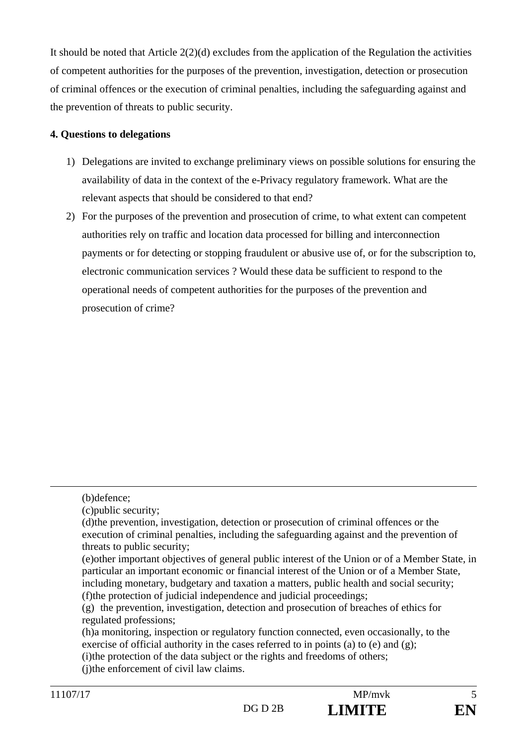It should be noted that Article 2(2)(d) excludes from the application of the Regulation the activities of competent authorities for the purposes of the prevention, investigation, detection or prosecution of criminal offences or the execution of criminal penalties, including the safeguarding against and the prevention of threats to public security.

# **4. Questions to delegations**

- 1) Delegations are invited to exchange preliminary views on possible solutions for ensuring the availability of data in the context of the e-Privacy regulatory framework. What are the relevant aspects that should be considered to that end?
- 2) For the purposes of the prevention and prosecution of crime, to what extent can competent authorities rely on traffic and location data processed for billing and interconnection payments or for detecting or stopping fraudulent or abusive use of, or for the subscription to, electronic communication services ? Would these data be sufficient to respond to the operational needs of competent authorities for the purposes of the prevention and prosecution of crime?

 $\overline{a}$ 

(i)the protection of the data subject or the rights and freedoms of others;

 <sup>(</sup>b)defence;

 <sup>(</sup>c)public security;

 <sup>(</sup>d)the prevention, investigation, detection or prosecution of criminal offences or the execution of criminal penalties, including the safeguarding against and the prevention of threats to public security;

 <sup>(</sup>e)other important objectives of general public interest of the Union or of a Member State, in particular an important economic or financial interest of the Union or of a Member State, including monetary, budgetary and taxation a matters, public health and social security; (f)the protection of judicial independence and judicial proceedings;

 <sup>(</sup>g) the prevention, investigation, detection and prosecution of breaches of ethics for regulated professions;

 <sup>(</sup>h)a monitoring, inspection or regulatory function connected, even occasionally, to the exercise of official authority in the cases referred to in points (a) to (e) and (g);

<sup>(</sup>i)the enforcement of civil law claims.